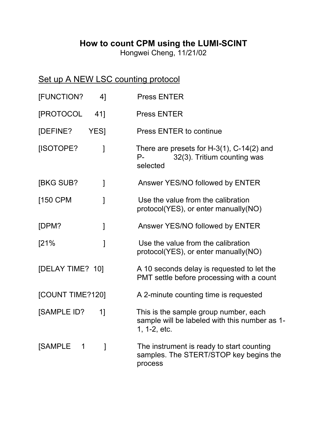## **How to count CPM using the LUMI-SCINT**

Hongwei Cheng, 11/21/02

## Set up A NEW LSC counting protocol

| [FUNCTION?          | 41          | <b>Press ENTER</b>                                                                                     |
|---------------------|-------------|--------------------------------------------------------------------------------------------------------|
| [PROTOCOL           | 41]         | <b>Press ENTER</b>                                                                                     |
| [DEFINE?            | <b>YESI</b> | Press ENTER to continue                                                                                |
| [ISOTOPE?           | 1           | There are presets for $H-3(1)$ , C-14(2) and<br>32(3). Tritium counting was<br>$P_{-}$<br>selected     |
| <b>IBKG SUB?</b>    | 1           | Answer YES/NO followed by ENTER                                                                        |
| [150 CPM            | 1           | Use the value from the calibration<br>protocol(YES), or enter manually(NO)                             |
| [DPM?               | 1           | Answer YES/NO followed by ENTER                                                                        |
| [21%                | 1           | Use the value from the calibration<br>protocol(YES), or enter manually(NO)                             |
| [DELAY TIME? 10]    |             | A 10 seconds delay is requested to let the<br>PMT settle before processing with a count                |
| [COUNT TIME?120]    |             | A 2-minute counting time is requested                                                                  |
| <b>[SAMPLE ID?</b>  | 1]          | This is the sample group number, each<br>sample will be labeled with this number as 1-<br>1, 1-2, etc. |
| <b>[SAMPLE</b><br>1 | 1           | The instrument is ready to start counting<br>samples. The STERT/STOP key begins the<br>process         |